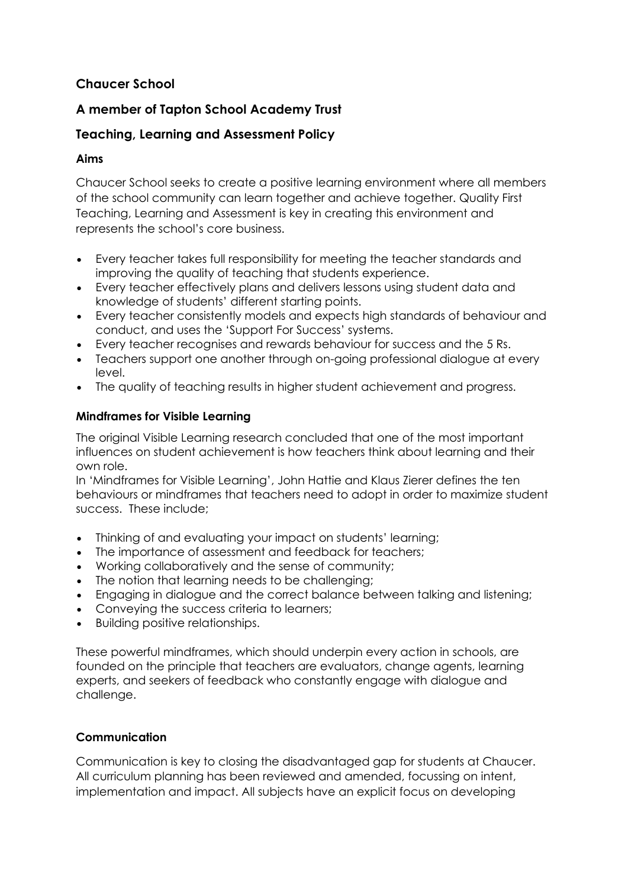# **Chaucer School**

# **A member of Tapton School Academy Trust**

# **Teaching, Learning and Assessment Policy**

### **Aims**

Chaucer School seeks to create a positive learning environment where all members of the school community can learn together and achieve together. Quality First Teaching, Learning and Assessment is key in creating this environment and represents the school's core business.

- Every teacher takes full responsibility for meeting the teacher standards and improving the quality of teaching that students experience.
- Every teacher effectively plans and delivers lessons using student data and knowledge of students' different starting points.
- Every teacher consistently models and expects high standards of behaviour and conduct, and uses the 'Support For Success' systems.
- Every teacher recognises and rewards behaviour for success and the 5 Rs.
- Teachers support one another through on-going professional dialogue at every level.
- The quality of teaching results in higher student achievement and progress.

## **Mindframes for Visible Learning**

The original Visible Learning research concluded that one of the most important influences on student achievement is how teachers think about learning and their own role.

In 'Mindframes for Visible Learning', John Hattie and Klaus Zierer defines the ten behaviours or mindframes that teachers need to adopt in order to maximize student success. These include;

- Thinking of and evaluating your impact on students' learning;
- The importance of assessment and feedback for teachers;
- Working collaboratively and the sense of community;
- The notion that learning needs to be challenging;
- Engaging in dialogue and the correct balance between talking and listening:
- Conveying the success criteria to learners;
- Building positive relationships.

These powerful mindframes, which should underpin every action in schools, are founded on the principle that teachers are evaluators, change agents, learning experts, and seekers of feedback who constantly engage with dialogue and challenge.

## **Communication**

Communication is key to closing the disadvantaged gap for students at Chaucer. All curriculum planning has been reviewed and amended, focussing on intent, implementation and impact. All subjects have an explicit focus on developing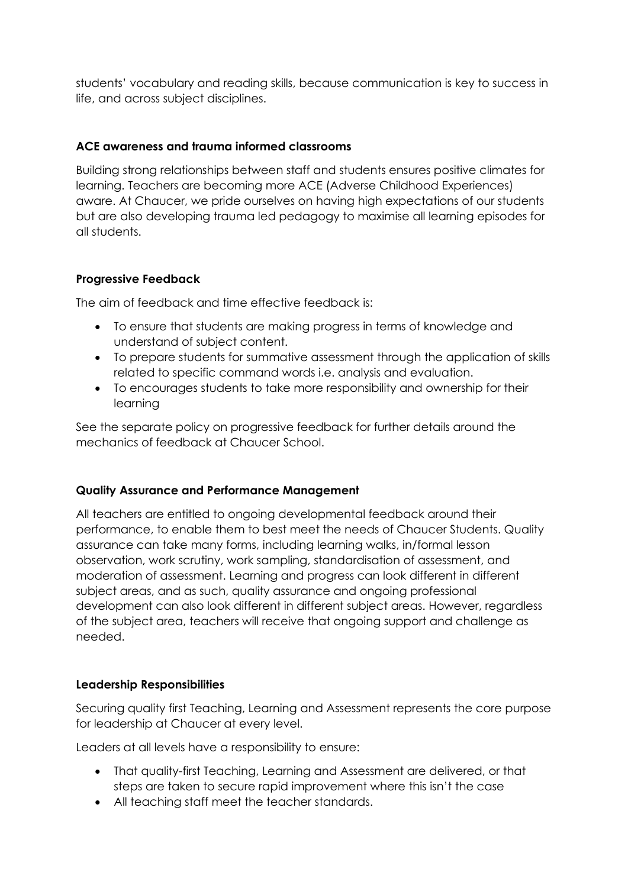students' vocabulary and reading skills, because communication is key to success in life, and across subject disciplines.

### **ACE awareness and trauma informed classrooms**

Building strong relationships between staff and students ensures positive climates for learning. Teachers are becoming more ACE (Adverse Childhood Experiences) aware. At Chaucer, we pride ourselves on having high expectations of our students but are also developing trauma led pedagogy to maximise all learning episodes for all students.

### **Progressive Feedback**

The aim of feedback and time effective feedback is:

- To ensure that students are making progress in terms of knowledge and understand of subject content.
- To prepare students for summative assessment through the application of skills related to specific command words i.e. analysis and evaluation.
- To encourages students to take more responsibility and ownership for their learning

See the separate policy on progressive feedback for further details around the mechanics of feedback at Chaucer School.

## **Quality Assurance and Performance Management**

All teachers are entitled to ongoing developmental feedback around their performance, to enable them to best meet the needs of Chaucer Students. Quality assurance can take many forms, including learning walks, in/formal lesson observation, work scrutiny, work sampling, standardisation of assessment, and moderation of assessment. Learning and progress can look different in different subject areas, and as such, quality assurance and ongoing professional development can also look different in different subject areas. However, regardless of the subject area, teachers will receive that ongoing support and challenge as needed.

## **Leadership Responsibilities**

Securing quality first Teaching, Learning and Assessment represents the core purpose for leadership at Chaucer at every level.

Leaders at all levels have a responsibility to ensure:

- That quality-first Teaching, Learning and Assessment are delivered, or that steps are taken to secure rapid improvement where this isn't the case
- All teaching staff meet the teacher standards.